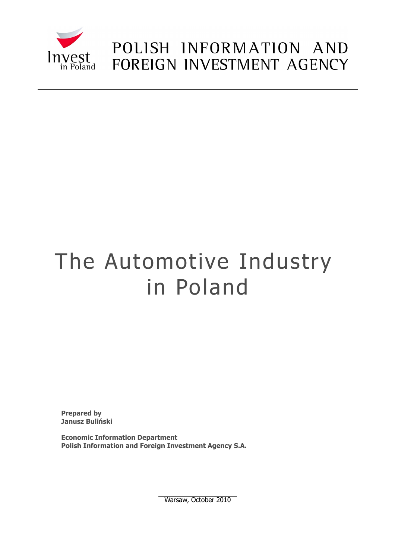

# POLISH INFORMATION AND FOREIGN INVESTMENT AGENCY

# The Automotive Industry in Poland

**Prepared by Janusz Buliński**

**Economic Information Department Polish Information and Foreign Investment Agency S.A.**

Warsaw, October 2010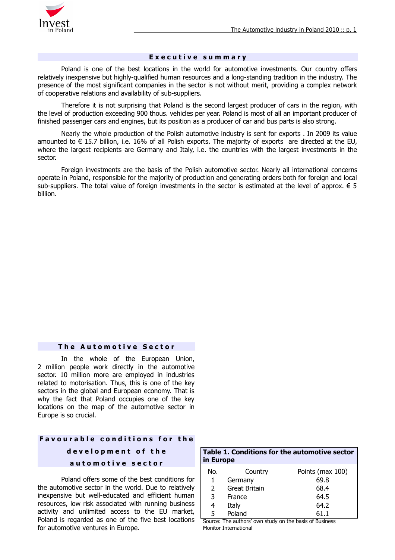

#### **E x e c u t i v e s u m m a r y**

Poland is one of the best locations in the world for automotive investments. Our country offers relatively inexpensive but highly-qualified human resources and a long-standing tradition in the industry. The presence of the most significant companies in the sector is not without merit, providing a complex network of cooperative relations and availability of sub-suppliers.

Therefore it is not surprising that Poland is the second largest producer of cars in the region, with the level of production exceeding 900 thous. vehicles per year. Poland is most of all an important producer of finished passenger cars and engines, but its position as a producer of car and bus parts is also strong.

Nearly the whole production of the Polish automotive industry is sent for exports . In 2009 its value amounted to € 15.7 billion, i.e. 16% of all Polish exports. The majority of exports are directed at the EU, where the largest recipients are Germany and Italy, i.e. the countries with the largest investments in the sector.

Foreign investments are the basis of the Polish automotive sector. Nearly all international concerns operate in Poland, responsible for the majority of production and generating orders both for foreign and local sub-suppliers. The total value of foreign investments in the sector is estimated at the level of approx.  $\epsilon$  5 billion.

#### **The Automotive Sector**

In the whole of the European Union, 2 million people work directly in the automotive sector. 10 million more are employed in industries related to motorisation. Thus, this is one of the key sectors in the global and European economy. That is why the fact that Poland occupies one of the key locations on the map of the automotive sector in Europe is so crucial.

### **F a v o u r a b l e c o n d i t i o n s f o r t h e d e v e l o p m e n t o f t h e a u t o m o t i v e s e c t o r**

Poland offers some of the best conditions for the automotive sector in the world. Due to relatively inexpensive but well-educated and efficient human resources, low risk associated with running business activity and unlimited access to the EU market, Poland is regarded as one of the five best locations for automotive ventures in Europe.

| in Europe |                      |                  |  |  |
|-----------|----------------------|------------------|--|--|
| No.       | Country              | Points (max 100) |  |  |
| 1         | Germany              | 69.8             |  |  |
| 2         | <b>Great Britain</b> | 68.4             |  |  |
| 3         | France               | 64.5             |  |  |
| 4         | Italy                | 64.2             |  |  |
| 5         | Poland               | 61.1             |  |  |

**Table 1. Conditions for the automotive sector**

Source: The authors' own study on the basis of Business Monitor International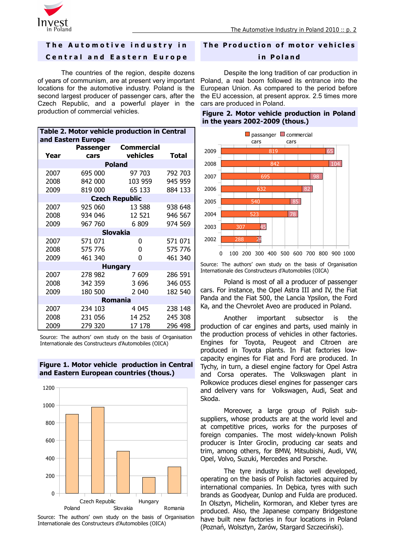

#### **The Automotive industry in**

#### **C e n t r a l a n d E a s t e r n E u r o p e**

The countries of the region, despite dozens of years of communism, are at present very important locations for the automotive industry. Poland is the second largest producer of passenger cars, after the Czech Republic, and a powerful player in the production of commercial vehicles.

| Table 2. Motor vehicle production in Central<br>and Eastern Europe |         |                      |              |  |  |  |  |
|--------------------------------------------------------------------|---------|----------------------|--------------|--|--|--|--|
|                                                                    |         | Passenger Commercial |              |  |  |  |  |
| Year                                                               | cars    | vehicles             | <b>Total</b> |  |  |  |  |
| <b>Poland</b>                                                      |         |                      |              |  |  |  |  |
| 2007                                                               | 695 000 | 97 703               | 792 703      |  |  |  |  |
| 2008                                                               | 842 000 | 103 959              | 945 959      |  |  |  |  |
| 2009                                                               | 819 000 | 65 133               | 884 133      |  |  |  |  |
| <b>Czech Republic</b>                                              |         |                      |              |  |  |  |  |
| 2007                                                               | 925 060 | 13 588               | 938 648      |  |  |  |  |
| 2008                                                               | 934 046 | 12 5 21              | 946 567      |  |  |  |  |
| 2009                                                               | 967 760 | 6 809                | 974 569      |  |  |  |  |
| <b>Slovakia</b>                                                    |         |                      |              |  |  |  |  |
| 2007                                                               | 571 071 | 0                    | 571 071      |  |  |  |  |
| 2008                                                               | 575 776 | 0                    | 575 776      |  |  |  |  |
| 2009                                                               | 461 340 | 0                    | 461 340      |  |  |  |  |
| <b>Hungary</b>                                                     |         |                      |              |  |  |  |  |
| 2007                                                               | 278 982 | 7 609                | 286 591      |  |  |  |  |
| 2008                                                               | 342 359 | 3 6 9 6              | 346 055      |  |  |  |  |
| 2009                                                               | 180 500 | 2 0 4 0              | 182 540      |  |  |  |  |
| <b>Romania</b>                                                     |         |                      |              |  |  |  |  |
| 2007                                                               | 234 103 | 4 045                | 238 148      |  |  |  |  |
| 2008                                                               | 231 056 | 14 252               | 245 308      |  |  |  |  |
| 2009                                                               | 279 320 | 17 178               | 296 498      |  |  |  |  |

Source: The authors' own study on the basis of Organisation Internationale des Constructeurs d'Automobiles (OICA)





Source: The authors' own study on the basis of Organisation Internationale des Constructeurs d'Automobiles (OICA)

#### **The Production of motor vehicles**

#### **in Poland**

Despite the long tradition of car production in Poland, a real boom followed its entrance into the European Union. As compared to the period before the EU accession, at present approx. 2.5 times more cars are produced in Poland.

|  |  | Figure 2. Motor vehicle production in Poland |  |
|--|--|----------------------------------------------|--|
|  |  | in the years 2002-2009 (thous.)              |  |



Source: The authors' own study on the basis of Organisation Internationale des Constructeurs d'Automobiles (OICA)

Poland is most of all a producer of passenger cars. For instance, the Opel Astra III and IV, the Fiat Panda and the Fiat 500, the Lancia Ypsilon, the Ford Ka, and the Chevrolet Aveo are produced in Poland.

Another important subsector is the production of car engines and parts, used mainly in the production process of vehicles in other factories. Engines for Toyota, Peugeot and Citroen are produced in Toyota plants. In Fiat factories lowcapacity engines for Fiat and Ford are produced. In Tychy, in turn, a diesel engine factory for Opel Astra and Corsa operates. The Volkswagen plant in Polkowice produces diesel engines for passenger cars and delivery vans for Volkswagen, Audi, Seat and Skoda.

Moreover, a large group of Polish subsuppliers, whose products are at the world level and at competitive prices, works for the purposes of foreign companies. The most widely-known Polish producer is Inter Groclin, producing car seats and trim, among others, for BMW, Mitsubishi, Audi, VW, Opel, Volvo, Suzuki, Mercedes and Porsche.

The tyre industry is also well developed, operating on the basis of Polish factories acquired by international companies. In Dębica, tyres with such brands as Goodyear, Dunlop and Fulda are produced. In Olsztyn, Michelin, Kormoran, and Kleber tyres are produced. Also, the Japanese company Bridgestone have built new factories in four locations in Poland (Poznań, Wolsztyn, Żarów, Stargard Szczeciński).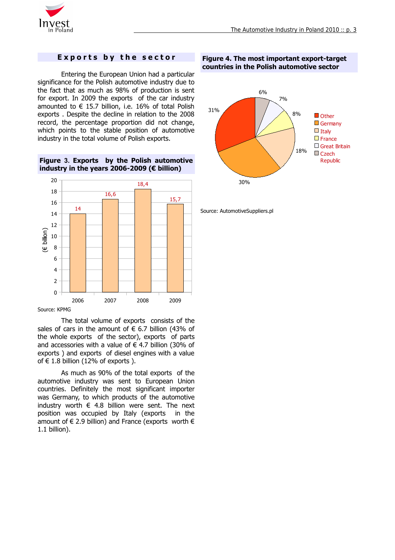

#### **Exports by the sector**

Entering the European Union had a particular significance for the Polish automotive industry due to the fact that as much as 98% of production is sent for export. In 2009 the exports of the car industry amounted to  $\epsilon$  15.7 billion, i.e. 16% of total Polish exports . Despite the decline in relation to the 2008 record, the percentage proportion did not change, which points to the stable position of automotive industry in the total volume of Polish exports.

**Figure 3. Exports by the Polish automotive industry in the years 2006-2009 (€ billion)**



Source: KPMG

The total volume of exports consists of the sales of cars in the amount of  $\epsilon$  6.7 billion (43% of the whole exports of the sector), exports of parts and accessories with a value of  $\epsilon$  4.7 billion (30% of exports ) and exports of diesel engines with a value of  $\in$  1.8 billion (12% of exports ).

As much as 90% of the total exports of the automotive industry was sent to European Union countries. Definitely the most significant importer was Germany, to which products of the automotive industry worth  $\epsilon$  4.8 billion were sent. The next position was occupied by Italy (exports in the amount of  $\in$  2.9 billion) and France (exports worth  $\in$ 1.1 billion).

**Figure 4. The most important export-target countries in the Polish automotive sector**



Source: AutomotiveSuppliers.pl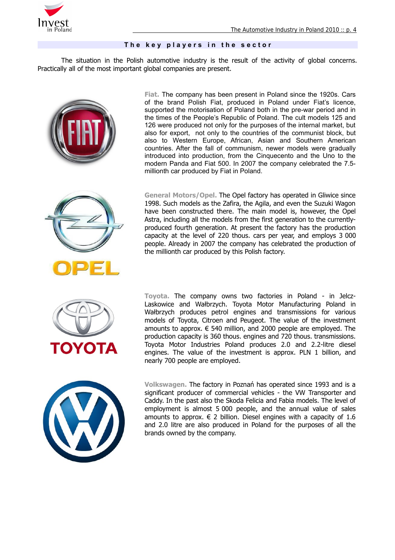

#### The key players in the sector

The situation in the Polish automotive industry is the result of the activity of global concerns. Practically all of the most important global companies are present.







**Fiat.** The company has been present in Poland since the 1920s. Cars of the brand Polish Fiat, produced in Poland under Fiat's licence, supported the motorisation of Poland both in the pre-war period and in the times of the People's Republic of Poland. The cult models 125 and 126 were produced not only for the purposes of the internal market, but also for export, not only to the countries of the communist block, but also to Western Europe, African, Asian and Southern American countries. After the fall of communism, newer models were gradually introduced into production, from the Cinquecento and the Uno to the modern Panda and Fiat 500. In 2007 the company celebrated the 7.5 millionth car produced by Fiat in Poland.

**General Motors/Opel.** The Opel factory has operated in Gliwice since 1998. Such models as the Zafira, the Agila, and even the Suzuki Wagon have been constructed there. The main model is, however, the Opel Astra, including all the models from the first generation to the currentlyproduced fourth generation. At present the factory has the production capacity at the level of 220 thous. cars per year, and employs 3 000 people. Already in 2007 the company has celebrated the production of the millionth car produced by this Polish factory.

**Toyota.** The company owns two factories in Poland - in Jelcz-Laskowice and Wałbrzych. Toyota Motor Manufacturing Poland in Wałbrzych produces petrol engines and transmissions for various models of Toyota, Citroen and Peugeot. The value of the investment amounts to approx.  $\epsilon$  540 million, and 2000 people are employed. The production capacity is 360 thous. engines and 720 thous. transmissions. Toyota Motor Industries Poland produces 2.0 and 2.2-litre diesel engines. The value of the investment is approx. PLN 1 billion, and nearly 700 people are employed.



**Volkswagen.** The factory in Poznań has operated since 1993 and is a significant producer of commercial vehicles - the VW Transporter and Caddy. In the past also the Skoda Felicia and Fabia models. The level of employment is almost 5 000 people, and the annual value of sales amounts to approx.  $\in$  2 billion. Diesel engines with a capacity of 1.6 and 2.0 litre are also produced in Poland for the purposes of all the brands owned by the company.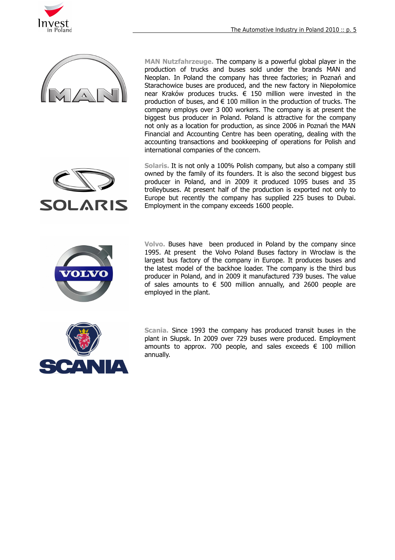



**MAN Nutzfahrzeuge.** The company is a powerful global player in the production of trucks and buses sold under the brands MAN and Neoplan. In Poland the company has three factories; in Poznań and Starachowice buses are produced, and the new factory in Niepołomice near Kraków produces trucks. € 150 million were invested in the production of buses, and  $\epsilon$  100 million in the production of trucks. The company employs over 3 000 workers. The company is at present the biggest bus producer in Poland. Poland is attractive for the company not only as a location for production, as since 2006 in Poznań the MAN Financial and Accounting Centre has been operating, dealing with the accounting transactions and bookkeeping of operations for Polish and international companies of the concern.

**SOLARIS** 

**Solaris.** It is not only a 100% Polish company, but also a company still owned by the family of its founders. It is also the second biggest bus producer in Poland, and in 2009 it produced 1095 buses and 35 trolleybuses. At present half of the production is exported not only to Europe but recently the company has supplied 225 buses to Dubai. Employment in the company exceeds 1600 people.



**Volvo.** Buses have been produced in Poland by the company since 1995. At present the Volvo Poland Buses factory in Wrocław is the largest bus factory of the company in Europe. It produces buses and the latest model of the backhoe loader. The company is the third bus producer in Poland, and in 2009 it manufactured 739 buses. The value of sales amounts to  $\epsilon$  500 million annually, and 2600 people are employed in the plant.



**Scania.** Since 1993 the company has produced transit buses in the plant in Słupsk. In 2009 over 729 buses were produced. Employment amounts to approx. 700 people, and sales exceeds  $\epsilon$  100 million annually.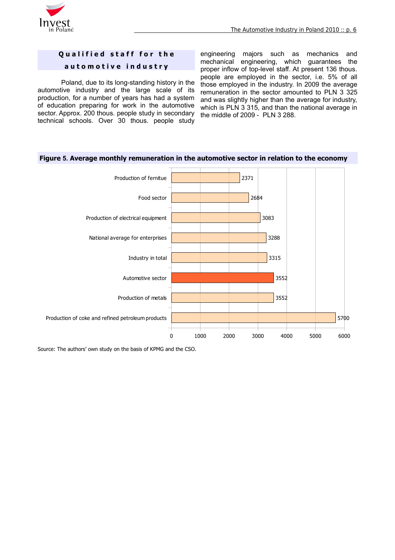

# **Qualified staff for the**

#### **a u t o m o t i v e i n d u s t r y**

Poland, due to its long-standing history in the automotive industry and the large scale of its production, for a number of years has had a system of education preparing for work in the automotive sector. Approx. 200 thous. people study in secondary technical schools. Over 30 thous. people study

engineering majors such as mechanics and mechanical engineering, which guarantees the proper inflow of top-level staff. At present 136 thous. people are employed in the sector, i.e. 5% of all those employed in the industry. In 2009 the average remuneration in the sector amounted to PLN 3 325 and was slightly higher than the average for industry, which is PLN 3 315, and than the national average in the middle of 2009 - PLN 3 288.



#### **Figure 5. Average monthly remuneration in the automotive sector in relation to the economy**

Source: The authors' own study on the basis of KPMG and the CSO.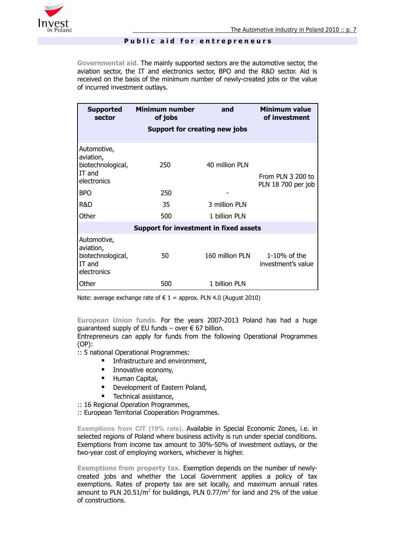

#### Public aid for entrepreneurs

**Governmental aid.** The mainly supported sectors are the automotive sector, the aviation sector, the IT and electronics sector, BPO and the R&D sector. Aid is received on the basis of the minimum number of newly-created jobs or the value of incurred investment outlays.

| <b>Supported</b><br>sector                                             | <b>Minimum number</b><br>of jobs     | and             | Minimum value<br>of investment          |  |  |  |  |
|------------------------------------------------------------------------|--------------------------------------|-----------------|-----------------------------------------|--|--|--|--|
|                                                                        | <b>Support for creating new jobs</b> |                 |                                         |  |  |  |  |
| Automotive,<br>aviation,<br>biotechnological,<br>IT and<br>electronics | 250                                  | 40 million PLN  | From PLN 3 200 to<br>PLN 18 700 per job |  |  |  |  |
| <b>BPO</b>                                                             | 250                                  |                 |                                         |  |  |  |  |
| R&D                                                                    | 35                                   | 3 million PLN   |                                         |  |  |  |  |
| Other                                                                  | 500                                  | 1 billion PLN   |                                         |  |  |  |  |
| Support for investment in fixed assets                                 |                                      |                 |                                         |  |  |  |  |
| Automotive,<br>aviation,<br>biotechnological,<br>IT and<br>electronics | 50                                   | 160 million PLN | $1-10\%$ of the<br>investment's value   |  |  |  |  |
| Other                                                                  | 500                                  | 1 billion PLN   |                                         |  |  |  |  |

Note: average exchange rate of  $\epsilon$  1 = approx. PLN 4.0 (August 2010)

**European Union funds.** For the years 2007-2013 Poland has had a huge guaranteed supply of EU funds – over  $\epsilon$  67 billion.

Entrepreneurs can apply for funds from the following Operational Programmes (OP):

:: 5 national Operational Programmes:

- **Infrastructure and environment,**
- **Innovative economy,**
- **Human Capital,**
- **•** Development of Eastern Poland,
- Technical assistance,

:: 16 Regional Operation Programmes,

:: European Territorial Cooperation Programmes.

**Exemptions from CIT (19% rate).** Available in Special Economic Zones, i.e. in selected regions of Poland where business activity is run under special conditions. Exemptions from income tax amount to 30%-50% of investment outlays, or the two-year cost of employing workers, whichever is higher.

**Exemptions from property tax.** Exemption depends on the number of newlycreated jobs and whether the Local Government applies a policy of tax exemptions. Rates of property tax are set locally, and maximum annual rates amount to PLN 20.51/m<sup>2</sup> for buildings, PLN 0.77/m<sup>2</sup> for land and 2% of the value of constructions.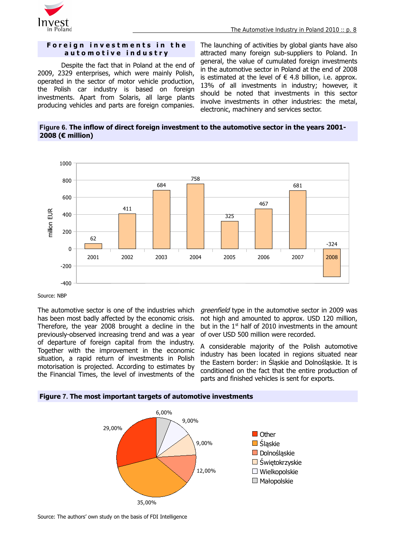

#### **Foreign investments in the a u t o m o t i v e i n d u s t r y**

Despite the fact that in Poland at the end of 2009, 2329 enterprises, which were mainly Polish, operated in the sector of motor vehicle production, the Polish car industry is based on foreign investments. Apart from Solaris, all large plants producing vehicles and parts are foreign companies.

The launching of activities by global giants have also attracted many foreign sub-suppliers to Poland. In general, the value of cumulated foreign investments in the automotive sector in Poland at the end of 2008 is estimated at the level of  $\epsilon$  4.8 billion, i.e. approx. 13% of all investments in industry; however, it should be noted that investments in this sector involve investments in other industries: the metal, electronic, machinery and services sector.

**Figure 6. The inflow of direct foreign investment to the automotive sector in the years 2001- 2008 (€ million)**



#### Source: NBP

The automotive sector is one of the industries which has been most badly affected by the economic crisis. Therefore, the year 2008 brought a decline in the previously-observed increasing trend and was a year of departure of foreign capital from the industry. Together with the improvement in the economic situation, a rapid return of investments in Polish motorisation is projected. According to estimates by the Financial Times, the level of investments of the

areenfield type in the automotive sector in 2009 was not high and amounted to approx. USD 120 million, but in the  $1<sup>st</sup>$  half of 2010 investments in the amount of over USD 500 million were recorded.

A considerable majority of the Polish automotive industry has been located in regions situated near the Eastern border: in Śląskie and Dolnośląskie. It is conditioned on the fact that the entire production of parts and finished vehicles is sent for exports.





Source: The authors' own study on the basis of FDI Intelligence